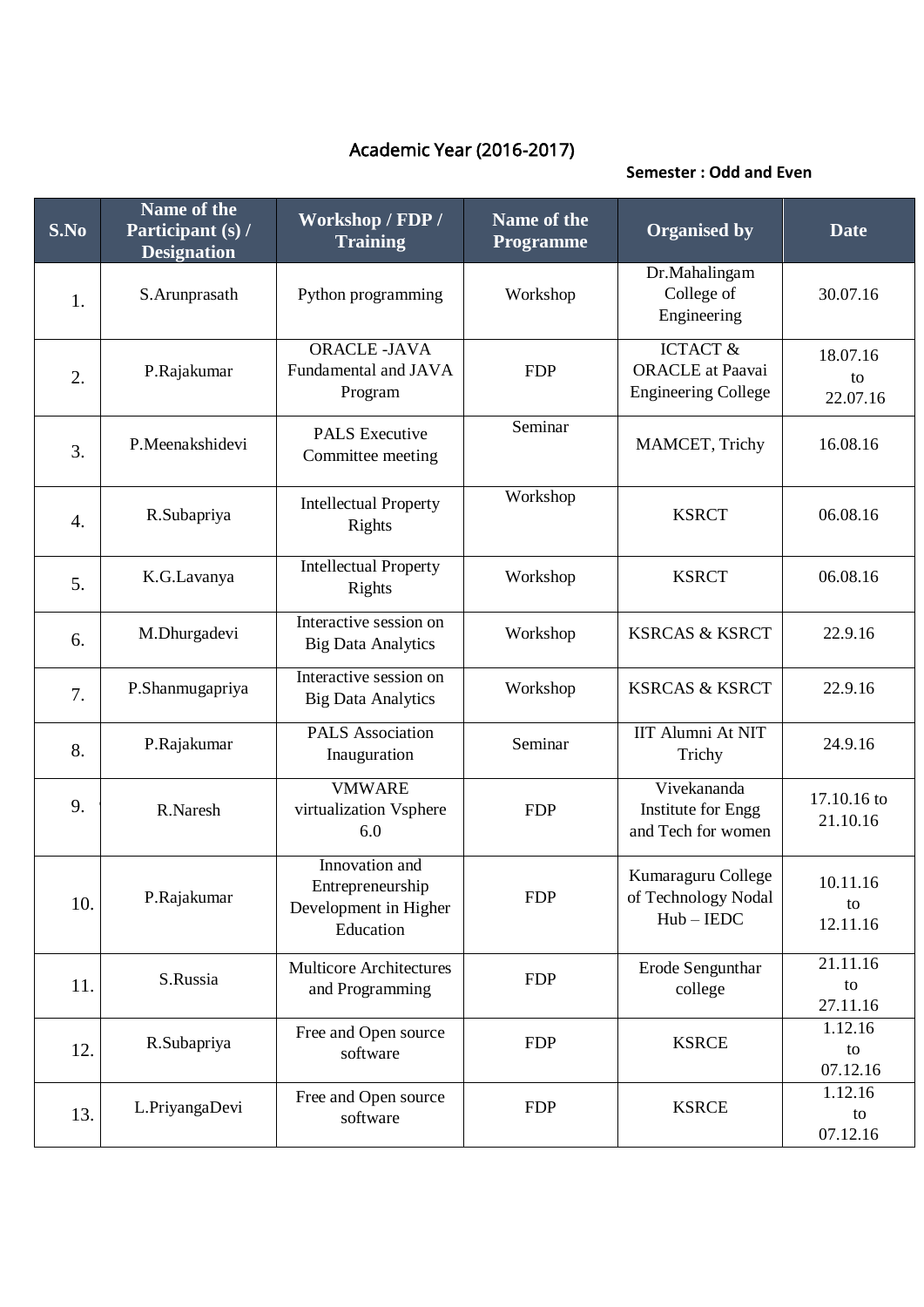## Academic Year (2016-2017)

## **Semester : Odd and Even**

| S.No             | Name of the<br>Participant (s) /<br><b>Designation</b> | Workshop / FDP /<br><b>Training</b>                                      | Name of the<br>Programme | <b>Organised by</b>                                                          | <b>Date</b>                |
|------------------|--------------------------------------------------------|--------------------------------------------------------------------------|--------------------------|------------------------------------------------------------------------------|----------------------------|
| 1.               | S.Arunprasath                                          | Python programming                                                       | Workshop                 | Dr.Mahalingam<br>College of<br>Engineering                                   | 30.07.16                   |
| 2.               | P.Rajakumar                                            | <b>ORACLE-JAVA</b><br>Fundamental and JAVA<br>Program                    | <b>FDP</b>               | <b>ICTACT &amp;</b><br><b>ORACLE</b> at Paavai<br><b>Engineering College</b> | 18.07.16<br>to<br>22.07.16 |
| 3.               | P.Meenakshidevi                                        | <b>PALS</b> Executive<br>Committee meeting                               | Seminar                  | MAMCET, Trichy                                                               | 16.08.16                   |
| $\overline{4}$ . | R.Subapriya                                            | <b>Intellectual Property</b><br>Rights                                   | Workshop                 | <b>KSRCT</b>                                                                 | 06.08.16                   |
| 5.               | K.G.Lavanya                                            | <b>Intellectual Property</b><br>Rights                                   | Workshop                 | <b>KSRCT</b>                                                                 | 06.08.16                   |
| 6.               | M.Dhurgadevi                                           | Interactive session on<br><b>Big Data Analytics</b>                      | Workshop                 | <b>KSRCAS &amp; KSRCT</b>                                                    | 22.9.16                    |
| 7.               | P.Shanmugapriya                                        | Interactive session on<br><b>Big Data Analytics</b>                      | Workshop                 | <b>KSRCAS &amp; KSRCT</b>                                                    | 22.9.16                    |
| 8.               | P.Rajakumar                                            | <b>PALS</b> Association<br>Inauguration                                  | Seminar                  | <b>IIT Alumni At NIT</b><br>Trichy                                           | 24.9.16                    |
| 9.               | R.Naresh                                               | <b>VMWARE</b><br>virtualization Vsphere<br>6.0                           | <b>FDP</b>               | Vivekananda<br>Institute for Engg<br>and Tech for women                      | 17.10.16 to<br>21.10.16    |
| 10.              | P.Rajakumar                                            | Innovation and<br>Entrepreneurship<br>Development in Higher<br>Education | <b>FDP</b>               | Kumaraguru College<br>of Technology Nodal<br>$Hub - IEDC$                    | 10.11.16<br>to<br>12.11.16 |
| 11.              | S.Russia                                               | <b>Multicore Architectures</b><br>and Programming                        | <b>FDP</b>               | Erode Sengunthar<br>college                                                  | 21.11.16<br>to<br>27.11.16 |
| 12.              | R.Subapriya                                            | Free and Open source<br>software                                         | <b>FDP</b>               | <b>KSRCE</b>                                                                 | 1.12.16<br>to<br>07.12.16  |
| 13.              | L.PriyangaDevi                                         | Free and Open source<br>software                                         | <b>FDP</b>               | <b>KSRCE</b>                                                                 | 1.12.16<br>to<br>07.12.16  |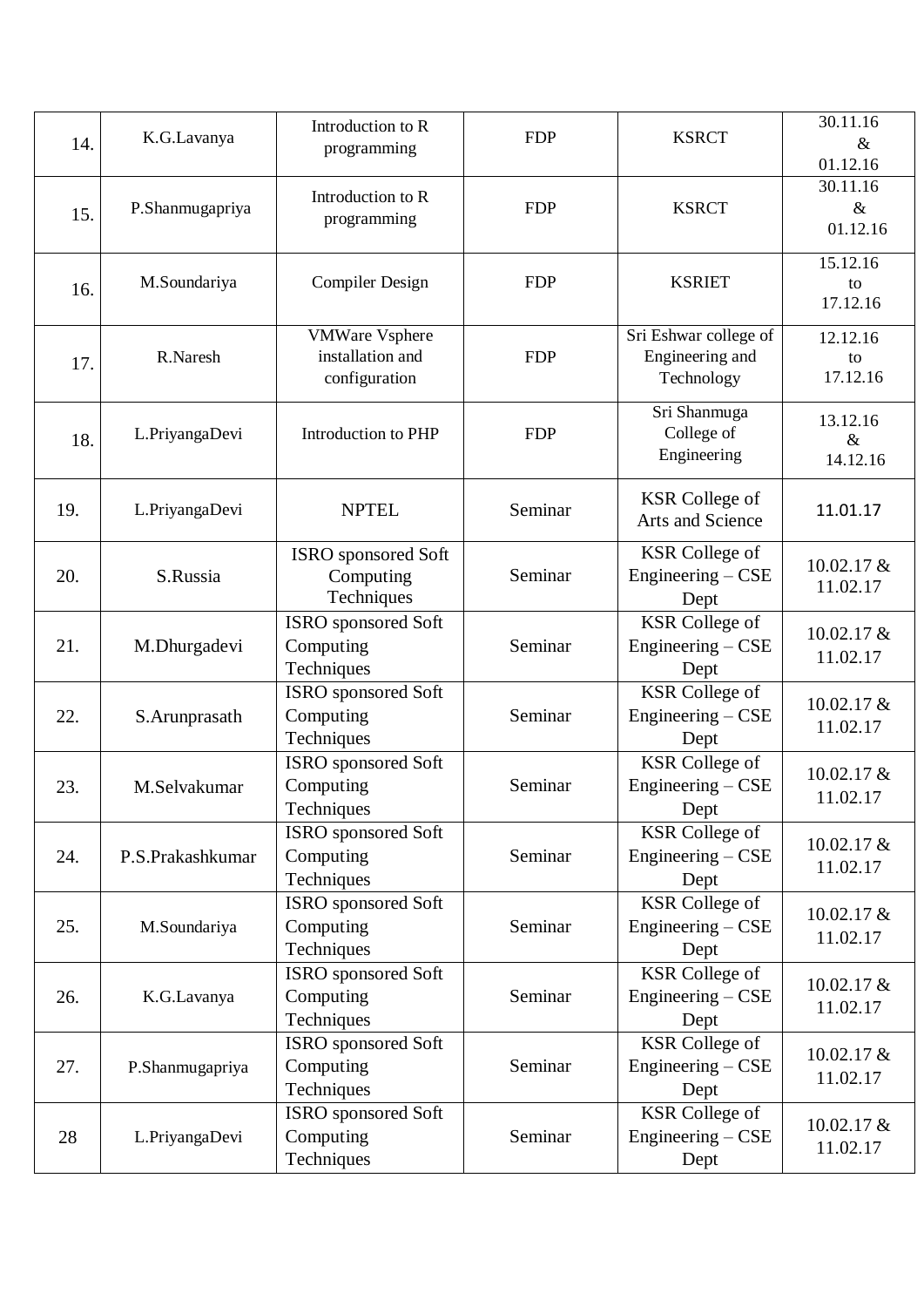| 14. | K.G.Lavanya      | Introduction to R<br>programming                           | <b>FDP</b> | <b>KSRCT</b>                                           | $30.11.\overline{16}$<br>$\&$<br>01.12.16 |
|-----|------------------|------------------------------------------------------------|------------|--------------------------------------------------------|-------------------------------------------|
| 15. | P.Shanmugapriya  | Introduction to R<br>programming                           | <b>FDP</b> | <b>KSRCT</b>                                           | 30.11.16<br>$\&$<br>01.12.16              |
| 16. | M.Soundariya     | <b>Compiler Design</b>                                     | <b>FDP</b> | <b>KSRIET</b>                                          | 15.12.16<br>to<br>17.12.16                |
| 17. | R.Naresh         | <b>VMWare Vsphere</b><br>installation and<br>configuration | <b>FDP</b> | Sri Eshwar college of<br>Engineering and<br>Technology | 12.12.16<br>to<br>17.12.16                |
| 18. | L.PriyangaDevi   | Introduction to PHP                                        | <b>FDP</b> | Sri Shanmuga<br>College of<br>Engineering              | 13.12.16<br>$\&$<br>14.12.16              |
| 19. | L.PriyangaDevi   | <b>NPTEL</b>                                               | Seminar    | <b>KSR</b> College of<br>Arts and Science              | 11.01.17                                  |
| 20. | S.Russia         | ISRO sponsored Soft<br>Computing<br>Techniques             | Seminar    | <b>KSR</b> College of<br>Engineering $-CSE$<br>Dept    | 10.02.17 &<br>11.02.17                    |
| 21. | M.Dhurgadevi     | ISRO sponsored Soft<br>Computing<br>Techniques             | Seminar    | <b>KSR</b> College of<br>Engineering $-CSE$<br>Dept    | 10.02.17 &<br>11.02.17                    |
| 22. | S.Arunprasath    | ISRO sponsored Soft<br>Computing<br>Techniques             | Seminar    | <b>KSR</b> College of<br>Engineering - CSE<br>Dept     | 10.02.17 &<br>11.02.17                    |
| 23. | M.Selvakumar     | ISRO sponsored Soft<br>Computing<br>Techniques             | Seminar    | <b>KSR</b> College of<br>Engineering $-$ CSE<br>Dept   | 10.02.17 &<br>11.02.17                    |
| 24. | P.S.Prakashkumar | ISRO sponsored Soft<br>Computing<br>Techniques             | Seminar    | <b>KSR</b> College of<br>Engineering - CSE<br>Dept     | 10.02.17 &<br>11.02.17                    |
| 25. | M.Soundariya     | <b>ISRO</b> sponsored Soft<br>Computing<br>Techniques      | Seminar    | <b>KSR</b> College of<br>Engineering $-CSE$<br>Dept    | $10.02.17 \&$<br>11.02.17                 |
| 26. | K.G.Lavanya      | ISRO sponsored Soft<br>Computing<br>Techniques             | Seminar    | <b>KSR</b> College of<br>Engineering - CSE<br>Dept     | $10.02.17 \&$<br>11.02.17                 |
| 27. | P.Shanmugapriya  | ISRO sponsored Soft<br>Computing<br>Techniques             | Seminar    | <b>KSR</b> College of<br>Engineering - CSE<br>Dept     | 10.02.17 &<br>11.02.17                    |
| 28  | L.PriyangaDevi   | ISRO sponsored Soft<br>Computing<br>Techniques             | Seminar    | <b>KSR</b> College of<br>Engineering - CSE<br>Dept     | 10.02.17 &<br>11.02.17                    |